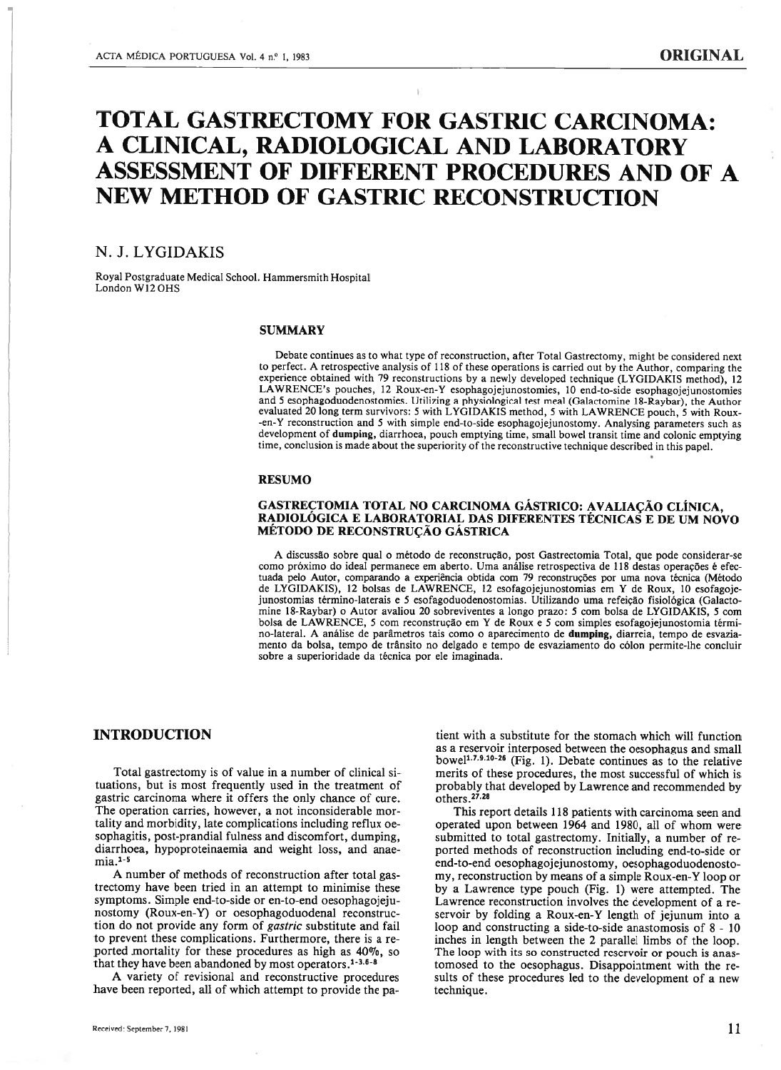# TOTAL GASTRECTOMY FOR GASTRIC CARCINOMA: A CLINICAL, RADIOLOGICAL AND LABORATORY ASSESSMENT OF DIFFERENT PROCEDURES AND OF A NEW METHOD OF GASTRIC RECONSTRUCTION

# N. J. LYGIDAKIS

Royal Postgraduate Medical School. Hammersmith Hospital London W12 OHS

#### **SUMMARY**

Debate continues as to what type of reconstruction, after Total Gastrectomy, might be considered next to perfect. A retrospective analysis of 118 of these operations is carried out by the Author, comparing the experience obtained with 79 reconstructions by <sup>a</sup> newly developed technique (LYGIDAKIS method), 12 L.AWRENCE's pouches, 12 Roux-en-Y esophagojejunostomies, 10 end-to-side esophagojejunostomies and 5 esophagoduodenostomies. Utilizing <sup>a</sup> physiological test meal (Galactomine 18-Raybar), the Author evaluated <sup>20</sup> long term survivors: <sup>5</sup> with LYGIDAKIS method, <sup>5</sup> with LAWRENCE pouch, <sup>5</sup> with Roux -en-Y reconstruction and 5 with simple end-to-side esophagojejunostomy. Analysing parameters such as development of dumping, diarrhoea, pouch emptying time, small bowel transit time and colonic emptying time, conclusion is made about the superiority of the reconstructive technique described in this papel.

#### RESUMO

# GASTRECTOMIA TOTAL NO CARCINOMA GÁSTRICO: AVALIAÇÃO CLÍNICA, RADIOLÓGICA <sup>E</sup> LABORATORIAL DAS DIFERENTES TÉCNICAS <sup>E</sup> DE UM NOVO MÉTODO DE RECONSTRUÇÃO GÁSTRICA

A discussão sobre qual <sup>o</sup> método de reconstrução, post Gastrectomia Total, que pode considerar-se como próximo do ideal permanece em aberto. Uma análise retrospectiva de <sup>118</sup> destas operações é efec tuada pelo Autor, comparando <sup>a</sup> experiência obtida com <sup>79</sup> reconstruções por uma nova técnica (Método de LYGIDAKIS), <sup>12</sup> bolsas de LAWRENCE, <sup>12</sup> esofagojejunostomias em <sup>Y</sup> de Roux, <sup>10</sup> esofagoje junostomias término-laterais <sup>e</sup> 5 esofagoduodenostomias. Utilizando uma refeição fisiológica (Galacto mine 18-Raybar) <sup>o</sup> Autor avaliou <sup>20</sup> sobreviventes <sup>a</sup> longo prazo: <sup>5</sup> com bolsa de LYGIDAKIS, <sup>5</sup> com bolsa de LAWRENCE, <sup>5</sup> com reconstrução em <sup>Y</sup> de Roux <sup>e</sup> <sup>5</sup> com simples esofagojejunostomia térmi no-lateral. A análise de parâmetros tais como <sup>o</sup> aparecimento de dumping, diarreia, tempo de esvazia mento da bolsa, tempo de trânsito no delgado <sup>e</sup> tempo de esvaziamento do cólon permite-lhe concluir sobre <sup>a</sup> superioridade da técnica por ele imaginada.

# INTRODUCTION

Total gastrectomy is of value in <sup>a</sup> number of clinical si tuations, but is most frequentiy used in the treatment of gastric carcinoma where it offers the only chance of cure. The operation carries, however, a not inconsiderable mortality and morbidity, late complications including reflux oe sophagitis, post-prandial fulness and discomfort, dumping, diarrhoea, hypoproteinaemia and weight loss, and anae  $mia.^{1-5}$ 

A number of methods of reconstruction after total gas trectomy have been tried in an attempt to minimise these symptoms. Simple end-to-side or en-to-end oesophagojeju nostomy (Roux-en-Y) or oesophagoduodenal reconstruc tion do not provide any form of gastric substitute and fail to prevent these complications. Furthermore, there is <sup>a</sup> re ported mortality for these procedures as high as 40%, so that they have been abandoned by most operators.<sup>1-3.6-8</sup>

A variety of revisionai and reconstructive procedures have been reported, ali of which attempt to provide the pa

tient with a substitute for the stomach which wili function as <sup>a</sup> reservoir interposed between the oesophagus and smail bowel<sup>1.7.9.10-26</sup> (Fig. 1). Debate continues as to the relative merits of these procedures, the most successfui of which is probably that developed by Lawrence and recommended by others 27.28

This report details 118 patients with carcinoma seen and operated upon between <sup>1964</sup> and 1980, ail of whom were submitted to total gastrectomy. Initiaily, <sup>a</sup> number of re ported methods of reconstruction including end-to-side or end-to-end oesophagojejunostomy, oesophagoduodenosto my, reconstruction by means of <sup>a</sup> simple Roux-en-Y loop or by <sup>a</sup> Lawrence type pouch (Fig. 1) were attempted. The Lawrence reconstruction involves the deveiopment of <sup>a</sup> re servoir by folding <sup>a</sup> Roux-en-Y length of jejunum into <sup>a</sup> ioop and constructing <sup>a</sup> side-to-side anastomosis of 8 - 10 inches in iength between the 2 parailel limbs of the loop. The loop with its so constructed reservoir or pouch is anas tomosed to the oesophagus. Disappointment with the re sults of these procedures led to the development of <sup>a</sup> new technique.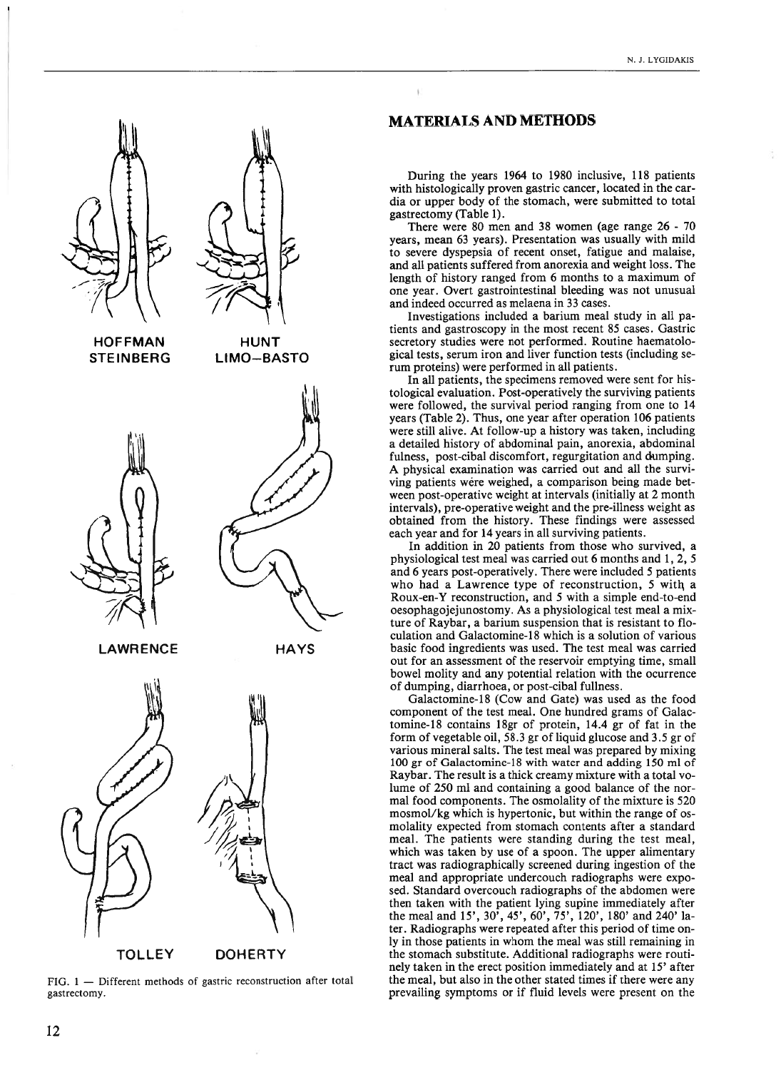

**TOLLEY DOHERTY** 

FIG. 1 — Different methods of gastric reconstruction after total gastrectomy.

# MATERIALS AND METHODS

During the years 1964 to 1980 inclusive, 118 patients with histologically proven gastric cancer, located in the cardia or upper body of the stomach, were submitted to total gastrectomy (Table 1).

There were 80 men and 38 women (age range 26 - 70 years, mean 63 years). Presentation was usually with miid to severe dyspepsia of recent onset, fatigue and malaise, and ali patients suffered from anorexia and weight ioss. The length of history ranged from <sup>6</sup> months to <sup>a</sup> maximum of one year. Overt gastrointestinal bleeding was not unusual and indeed occurred as melaena in 33 cases.

Investigations inciuded <sup>a</sup> barium meal study in ali pa tients and gastroscopy in the most recent 85 cases. Gastric secretory studies were not performed. Routine haematolo gical tests, serum iron and liver function tests (including serum proteins) were performed in ali patients.

In ali patients, the specimens removed were sent for his tologicai evaluation. Post-operativeiy the surviving patients were foliowed, the survival period ranging from one to <sup>14</sup> years (Table 2). Thus, one year after operation 106 patients were still alive. At follow-up a history was taken, including <sup>a</sup> detailed history of abdominal pain, anorexia, abdominal fulness, post-cibal discomfort, regurgitation and dumping. A physical examination was carried out and ali the survi ving patients wêre weighed, <sup>a</sup> comparison being made bet ween post-operative weight at intervals (initially at 2 month intervals), pre-operative weight and the pre-illness weight as obtained from the history. These findings were assessed each year and for 14 years in ali surviving patients.

In addition in <sup>20</sup> patients from those who survived, <sup>a</sup> physiological test meal was carried out 6 months and 1, 2, 5 and 6 years post-operatively. There were included 5 patients who had a Lawrence type of reconstruction, 5 with a Roux-en-Y reconstruction, and 5 with <sup>a</sup> simpie end-to-end oesophagojejunostomy. As <sup>a</sup> physiological test meal <sup>a</sup> mix ture of Raybar, <sup>a</sup> barium suspension that is resistant to fio culation and Galactomine-18 which is a solution of various basic food ingredients was used. The test meal was carried out for an assessment of the reservoir emptying time, small bowel moiity and any potential relation with the ocurrence of dumping, diarrhoea, or post-cibai fullness.

Galactomine-18 (Cow and Gate) was used as the food component of the test meal. One hundred grams of Galac tomine-18 contains 18gr of protein, 14.4 gr of fat in the form of vegetable oil, 58.3 gr of liquid glucose and 3.5 gr of various mineral salts. The test meal was prepared by mixing 100 gr of Galactomine-18 with water and adding 150 mi of Raybar. The result is <sup>a</sup> thick creamy mixture with <sup>a</sup> total vo lume of 250 mi and containing <sup>a</sup> good balance of the nor mal food components. The osmolality of the mixture is 520 mosmol/kg which is hypertonic, but within the range of os molaiity expected from stomach contents after <sup>a</sup> standard meal. The patients were standing during the test meai, which was taken by use of <sup>a</sup> spoon. The upper alimentary tract was radiographicaiiy screened during ingestion of the meai and appropriate undercouch radiographs were expo sed. Standard overcouch radiographs of the abdomen were then taken with the patient lying supine immediately after the meai and 15', 30', 45', 60', 75', 120', 180' and 240' ia ter. Radiographs were repeated after this period of time on ly in those patients in whom the meai was stili remaining in the stomach substitute. Additionai radiographs were routi nely taken in the erect position immediately and at 15' after the meal, but also in the other stated times if there were any prevailing symptoms or if fiuid leveis were present on the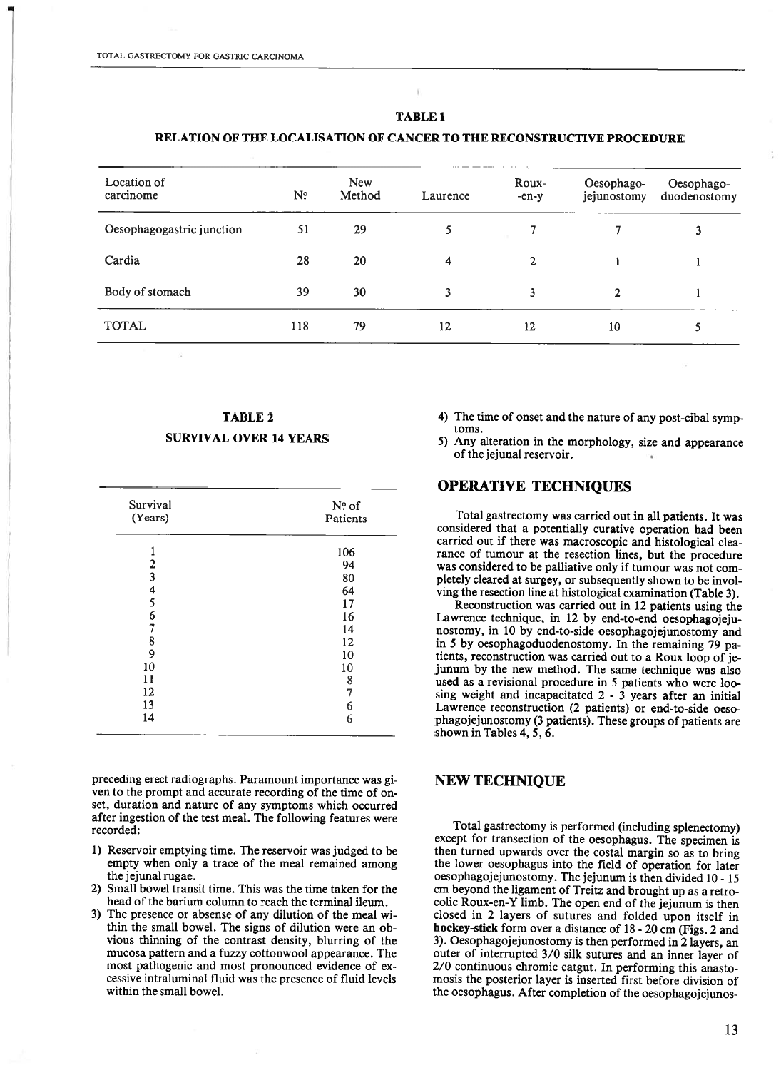### RELATION OF THE LOCALISATION OF CANCER TO THE RECONSTRUCTIVE PROCEDURE

| Location of<br>carcinome  | N <sup>o</sup> | <b>New</b><br>Method | Laurence | Roux-<br>$-en-y$ | Oesophago-<br>jejunostomy | Oesophago-<br>duodenostomy |
|---------------------------|----------------|----------------------|----------|------------------|---------------------------|----------------------------|
| Oesophagogastric junction | 51             | 29                   | 5        |                  |                           | 3                          |
| Cardia                    | 28             | 20                   | 4        | $\mathbf{2}$     |                           |                            |
| Body of stomach           | 39             | 30                   | 3        | 3                | 2                         |                            |
| <b>TOTAL</b>              | 118            | 79                   | 12       | 12               | 10                        | 5                          |

# TABLE 2 SURVIVAL OVER 14 YEARS

| Survival       | $No$ of  |  |  |
|----------------|----------|--|--|
| (Years)        | Patients |  |  |
|                | 106      |  |  |
| $\frac{2}{3}$  | 94       |  |  |
|                | 80       |  |  |
| $\frac{4}{5}$  | 64       |  |  |
|                | 17       |  |  |
| $\overline{6}$ | 16       |  |  |
| 7              | 14       |  |  |
| 8              | 12       |  |  |
| 9              | 10       |  |  |
| 10             | 10       |  |  |
| 11             | 8        |  |  |
| 12             | 7        |  |  |
| 13             | 6        |  |  |
| 14             | 6        |  |  |

preceding erect radiographs. Paramount importance was gi ven to the prompt and accurate recording of the time of on set, duration and nature of any symptoms which occurred after ingestion of the test meal. The foliowing features were recorded:

- 1) Reservoir emptying time. The reservoir was judged to be empty when only a trace of the meal remained among the jejunal rugae.
- 2) Small bowel transit time. This was the time taken for the head of the barium coiumn to reach the terminal ileum.
- 3) The presence or absense of any dilution of the meal wi thin the small bowel. The signs of dilution were an obvious thinning of the contrast density, blurring of the mucosa pattern and <sup>a</sup> fuzzy cottonwooi appearance. The most pathogenic and most pronounced evidence of excessive intraluminai fluid was the presence of fluid leveis within the small bowel.
- 4) The time of onset and the nature of any post-cibal symp toms.
- 5) Any alteration in the morphology, size and appearance of the jejunal reservoir.

# OPERATIVE TECHNIQUES

Total gastrectomy was carried out in ali patients. It was considered that <sup>a</sup> potentialiy curative operation had been carried out if there was macroscopic and histological clea rance of tumour at the resection lines, but the procedure was considered to be palliative only if tumour was not completeiy cleared at surgey, or subsequently shown to be invol ving the resection line at histological examination (Table 3).

Reconstruction was carried out in 12 patients using the Lawrence technique, in 12 by end-to-end oesophagojejunostomy, in 10 by end-to-side oesophagojejunostomy and in 5 by oesophagoduodenostomy. In the remaining 79 pa tients, reconstruction was carried out to <sup>a</sup> Roux ioop of je junum by the new method. The same technique was also used as <sup>a</sup> revisional procedure in 5 patients who were ioo sing weight and incapacitated  $2 - 3$  years after an initial Lawrence reconstruction (2 patients) or end-to-side oesophagojejunostomy (3 patients). These groups of patients are shown in Tables 4, 5, 6.

### NEW TECHNIQUE

Total gastrectomy is performed (inciuding splenectomy) except for transection of the oesophagus. The specimen is then turned upwards over the costal margin so as to bring the lower oesophagus into the field of operation for later oesophagojejunostomy. The jejunum is then divided <sup>10</sup> - 15 cm beyond the ligament of Treitz and brought up as <sup>a</sup> retro colic Roux-en-Y limb. The open end of the jejunum is then closed in 2 layers of sutures and folded upon itself in hockey-stick form over <sup>a</sup> distance of <sup>18</sup> - <sup>20</sup> cm (Figs. <sup>2</sup> and 3). Oesophagojejunostomy is then performed in 2 layers, an outer of interrupted 3/0 silk sutures and an inner layer of 2/0 continuous chromic catgut. In performing this anastomosis the posterior layer is inserted first before division of the oesophagus. After completion of the oesophagojejunos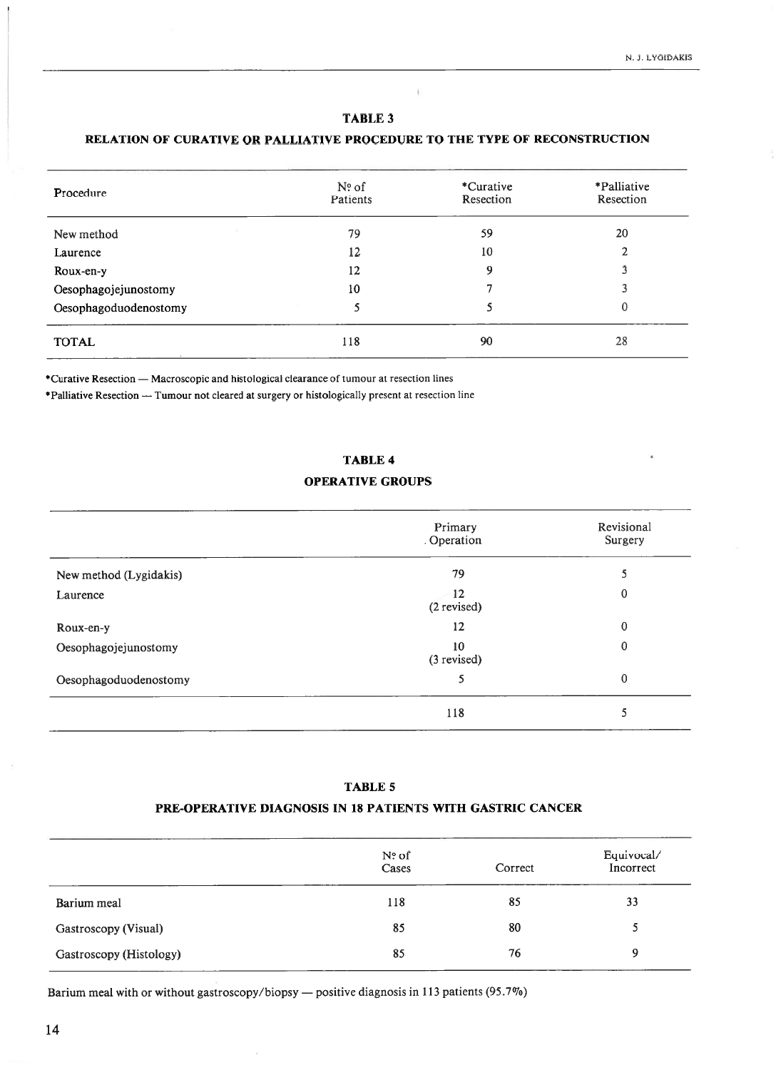$\left\vert \cdot \right\rangle$ 

# RELATION OF CURATIVE OR PALLIATIVE PROCEDURE TO THE TYPE OF RECONSTRUCTION

| Procedure             | $No$ of<br>Patients | *Curative<br>Resection | *Palliative<br>Resection |
|-----------------------|---------------------|------------------------|--------------------------|
| New method            | 79                  | 59                     | 20                       |
| Laurence              | 12                  | 10                     | 2                        |
| Roux-en-y             | 12                  | 9                      |                          |
| Oesophagojejunostomy  | 10                  |                        |                          |
| Oesophagoduodenostomy | 5                   |                        | 0                        |
| <b>TOTAL</b>          | 118                 | 90                     | 28                       |

\*Curatjve Resection — Macroscopic and histological clearance of tumour at resection lines

\*Palliative Resection — Tumour not cleared at surgery or histologically present at resection line

#### TABLE 4

# OPERATIVE GROUPS

|                        | Primary<br>. Operation           | Revisional<br>Surgery |  |
|------------------------|----------------------------------|-----------------------|--|
| New method (Lygidakis) | 79                               | 5                     |  |
| Laurence               | $12 \overline{ }$<br>(2 revised) | 0                     |  |
| Roux-en-y              | 12                               | 0                     |  |
| Oesophagojejunostomy   | 10<br>(3 revised)                | 0                     |  |
| Oesophagoduodenostomy  | 5                                | 0                     |  |
|                        | 118                              | 5                     |  |

#### TABLE 5

# PRE-OPERATIVE DIAGNOSIS IN 18 PATIENTS WITH GASTRIC CANCER

|                         | $No$ of<br>Cases | Correct | Equivocal/<br>Incorrect |
|-------------------------|------------------|---------|-------------------------|
| Barium meal             | 118              | 85      | 33                      |
| Gastroscopy (Visual)    | 85               | 80      |                         |
| Gastroscopy (Histology) | 85               | 76      | Q                       |

Barium meal with or without gastroscopy/biopsy — positive diagnosis in <sup>113</sup> patients (95.7%)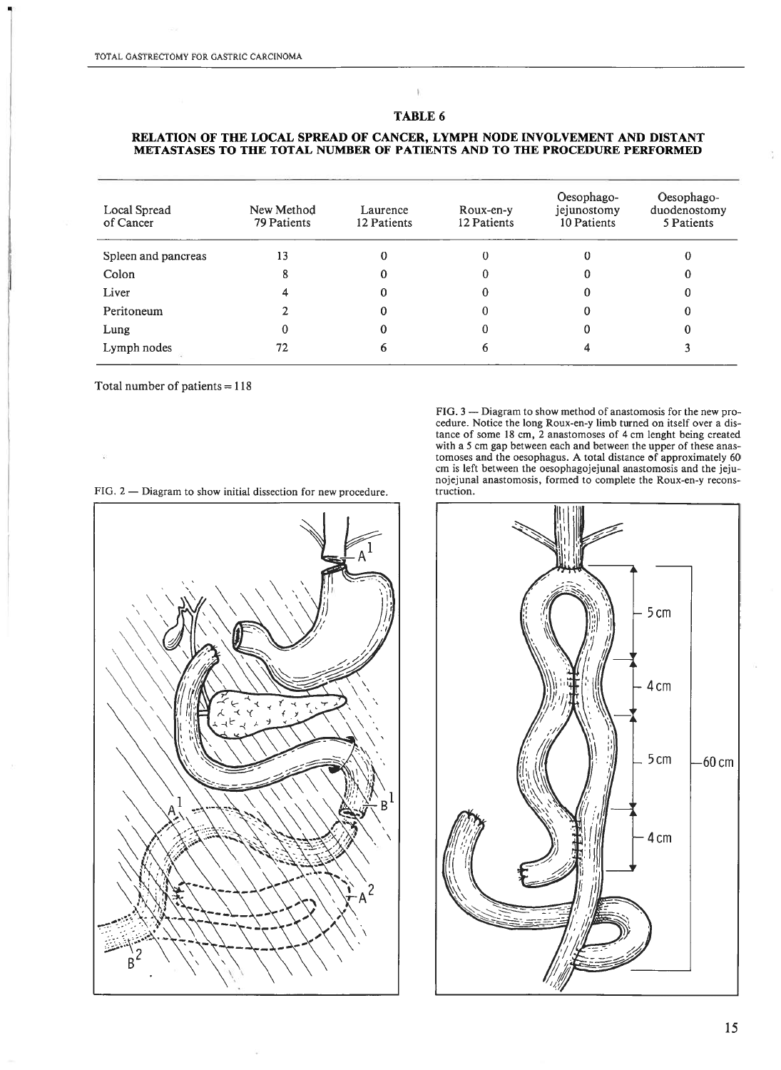#### RELATION OF THE LOCAL SPREAD OF CANCER, LYMPH NODE INVOLVEMENT AND DISTANT METASTASES TO THE TOTAL NUMBER OF PATIENTS AND TO THE PROCEDURE PERFORMED

| Local Spread<br>of Cancer | New Method<br>79 Patients | Laurence<br>12 Patients | Roux-en-y<br>12 Patients | Oesophago-<br>jejunostomy<br>10 Patients | Oesophago-<br>duodenostomy<br>5 Patients |
|---------------------------|---------------------------|-------------------------|--------------------------|------------------------------------------|------------------------------------------|
| Spleen and pancreas       | 13                        |                         |                          |                                          |                                          |
| Colon                     |                           |                         |                          |                                          |                                          |
| Liver                     |                           |                         |                          |                                          |                                          |
| Peritoneum                |                           |                         |                          |                                          |                                          |
| Lung                      |                           |                         |                          |                                          |                                          |
| Lymph nodes               | 72                        |                         |                          |                                          |                                          |

Total number of patients  $= 118$ 

FIG. 2 — Diagram to show initial dissection for new procedure. truction.

ı 2 R

FIG. 3 — Diagram to show method of anastomosis for the new procedure. Notice the long Roux-en-y limb turned on itself over a distance of some <sup>18</sup> cm, <sup>2</sup> anastomoses of <sup>4</sup> cm lenght being created with a 5 cm gap between each and between the upper of these anastomoses and the oesophagus. A total distance of approximately 60 cm is left between the oesophagojejunal anastomosis and the jeju nojejunal anastomosis, formed to complete the Roux-en-y recons

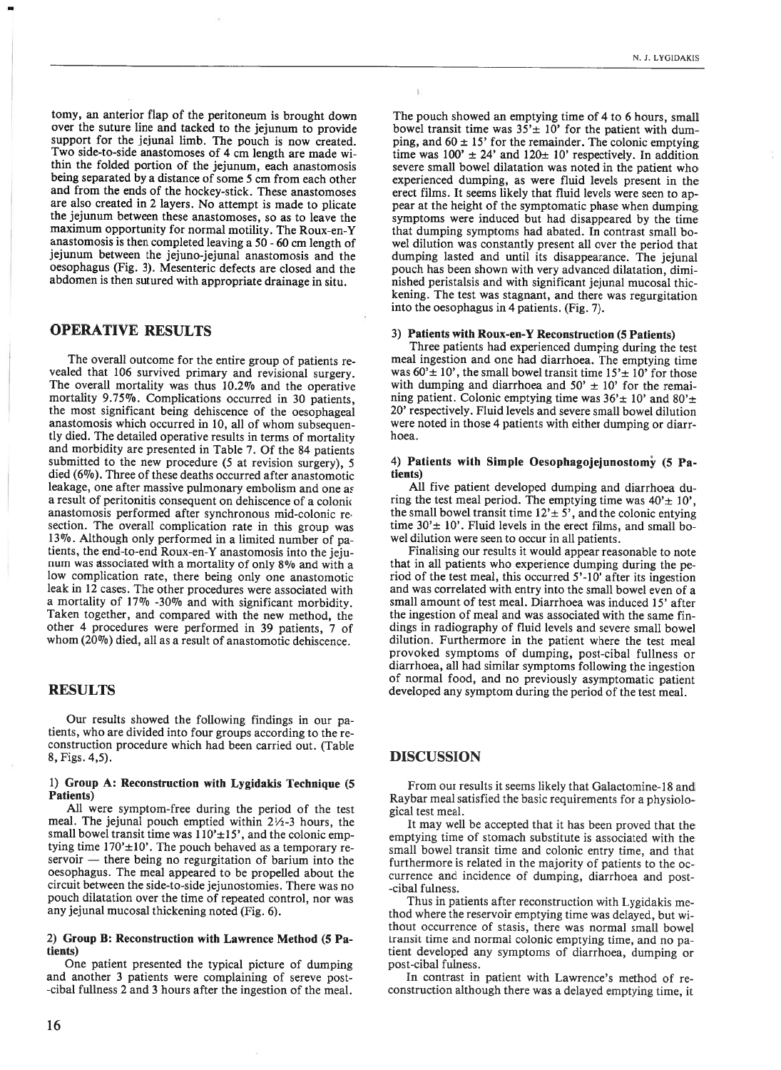tomy, an anterior fiap of the peritoneum is brought down over the suture line and tacked to the jejunum to provide support for the jejunai limb. The pouch is now created. Two side-to-side anastomoses of <sup>4</sup> cm length are made wi thin the folded portion of the jejunum, each anastomosis being separated by <sup>a</sup> distance of some <sup>5</sup> cm from each other and from the ends of the hockey-stick. These anastomoses are also created in 2 layers. No attempt is made to plicate the jejunum between these anastomoses, so as to leave the maximum opportunity for normal motility. The Roux-en-Y anastomosis is then completed leaving <sup>a</sup> <sup>50</sup> -60 cm length of jejunum between the jejuno-jejunal anastomosis and the oesophagus (Fig. 3). Mesenteric defects are closed and the abdomen is then sutured with appropriate drainage in situ.

### OPERATIVE RESULTS

The overali outcome for the entire group of patients re vealed that 106 survived primary and revisional surgery. The overall mortality was thus 10.2% and the operative mortality 9.75%. Complications occurred in 30 patients, the most significant being dehiscence of the oesophageai anastomosis which occurred in 10, ali of whom subsequen tly died. The detailed operative results in terms of mortality and morbidity are presented in Tabie 7. Of the 84 patients submitted to the new procedure (5 at revision surgery), 5 died  $(6\%)$ . Three of these deaths occurred after anastomotic leakage, one after massive pulmonary embolism and one as <sup>a</sup> result of peritonitis consequent on dehiscence of <sup>a</sup> coioni anastomosis performed after synchronous mid-colonic resection. The overail complication rate in this group was 13%. Aithough oniy performed in <sup>a</sup> iimited number of pa tients, the end-to-end Roux-en-Y anastomosis into the jeju num was associated with <sup>a</sup> mortaiity of oniy 8% and with <sup>a</sup> low complication rate, there being oniy one anastomotic leak in 12 cases. The other procedures were associated with <sup>a</sup> mortality of 17% -30% and with significant morbidity. Taken together, and compared with the new method, the other 4 procedures were performed in 39 patients, 7 of whom (20%) died, ali as <sup>a</sup> result of anastomotic dehiscence.

#### RESULTS

Our results showed the following findings in our patients, who are divided into four groups according to the re construction procedure which had been carried out. (Table 8, Figs. 4,5).

#### 1) Group A: Reconstruction with Lygidakis Technique (5 Patients)

Ali were symptom-free during the period of the test meal. The jejunai pouch emptied within 2½-3 hours, the small bowel transit time was  $110' \pm 15'$ , and the colonic emptying time  $170' \pm 10'$ . The pouch behaved as a temporary reservoir — there being no regurgitation of barium into the oesophagus. The meal appeared to be propelled about the circuit between the side-to-side jejunostomies. There was no pouch dilatation over the time of repeated control, nor was any jejunal mucosai thickening noted (Fig. 6).

#### 2) Group B: Reconstruction with Lawrence Method (5 Pa tients)

One patient presented the typical picture of dumping and another 3 patients were compiaining of sereve post -cibal fuliness 2 and 3 hours after the ingestion of the meal.

The pouch showed an emptying time of 4 to 6 hours, small bowel transit time was  $35' \pm 10'$  for the patient with dumping, and  $60 \pm 15$ ' for the remainder. The colonic emptying time was  $100' \pm 24'$  and  $120 \pm 10'$  respectively. In addition severe srnall bowei dilatation was noted in the patient who experienced dumping, as were fluid leveis present in the erect films. It seems likely that fluid levels were seen to appear at the height of the symptomatic phase when dumping symptoms were induced but had disappeared by the time that dumping symptoms had abated. In contrast small bowei dilution was constantiy present ali over the period that dumping lasted and until its disappearance. The jejunal pouch has been shown with very advanced dilatation, dimi nished peristaisis and with significant jejunal mucosal thic kening. The test was stagnant, and there was regurgitation into the oesophagus in 4 patients. (Fig. 7).

#### 3) Patients with Roux-en-Y Reconstruction (5 Patients)

Three patients had experienced dumping during the test meai ingestion and one had diarrhoea. The emptying time was  $60' \pm 10'$ , the small bowel transit time  $15' \pm 10'$  for those with dumping and diarrhoea and  $50' \pm 10'$  for the remaining patient. Colonic emptying time was  $36' \pm 10'$  and  $80' \pm$ 20' respectiveiy. Fiuid leveis and severe small bowei dilution were noted in those 4 patients with either dumping or diarr hoea.

#### 4) Patients with Simple Oesophagojejunostomy (5 Pa tients)

Ali five patient deveioped dumping and diarrhoea du ring the test meal period. The emptying time was  $40' \pm 10'$ , the small bowel transit time  $12' \pm 5'$ , and the colonic entying time  $30' \pm 10'$ . Fluid levels in the erect films, and small bowel dilution were seen to occur in ali patients.

Finalising our resuits it wouid appear reasonable to note that in ali patients who experience dumping during the pe riod of the test meai, this occurred 5'-lO' after its ingestion and was correlated with entry into the small bowei even of <sup>a</sup> small amount of test meal. Diarrhoea was induced 15' after the ingestion of meal and was associated with the same findings in radiography of fluid levels and severe small bowel dilution. Furthermore in the patient where the test meal provoked symptorns of dumping, post-cibal fuilness or diarrhoea, all had similar symptoms following the ingestion of normal food, and no previousiy asymptomatic patient deveioped any symptom during the period of the test meal.

#### DISCUSSION

From our results it seems likely that Galactomine-18 and Raybar meal satisfied the basic requirements for <sup>a</sup> physiolo gical test meal.

It may weil be accepted that it has been proved that the emptying time of stomach substitute is associated with the small bowel transit time and colonic entry time, and that furthermore is related in the majority of patients to the oc currence and incidence of dumping, diarrhoea and post -cibai fuiness.

Thus in patients after reconstruction with Lygidakis me thod where the reservoir emptying time was delayed, but without occurrence of stasis, there was normal small bowei transit time and normal colonic emptying time, and no patient developed any symptoms of diarrhoea, dumping or post-cibai fuiness.

In contrast in patient with Lawrence's method of re construction aithough there was <sup>a</sup> delayed emptying time, it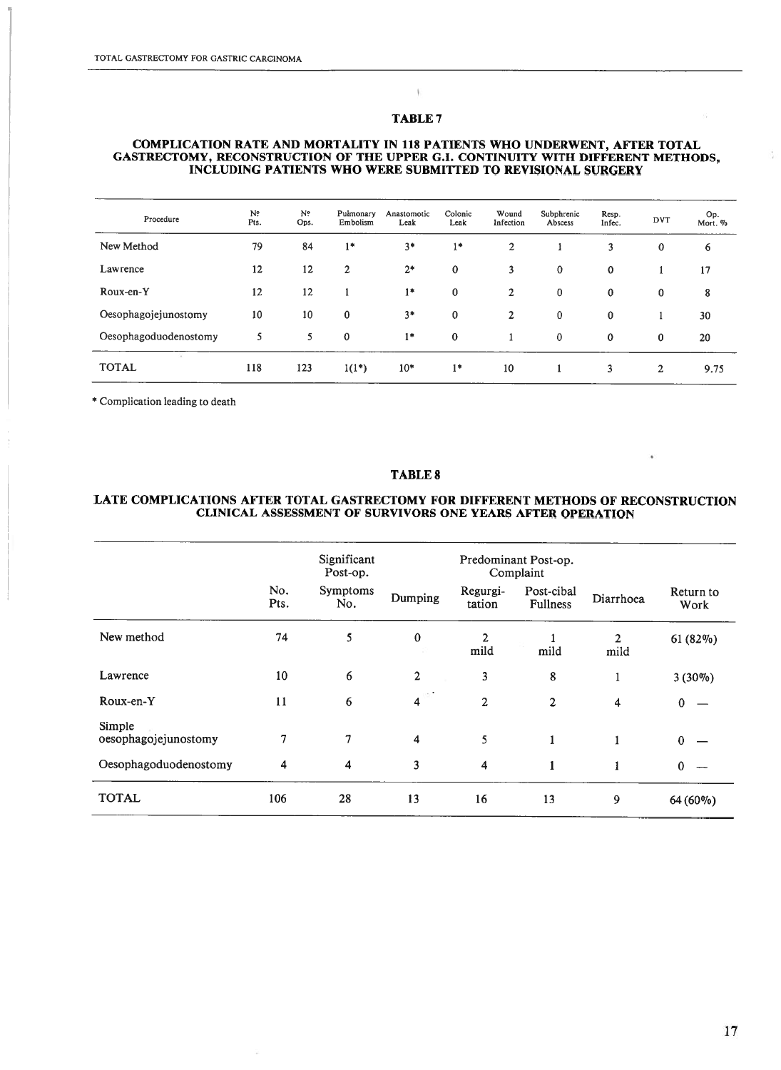$\mathbb{C}$ 

#### COMPLICATION RATE AND MORTALITY IN 118 PATIENTS WHO UNDERWENT, AFEER TOTAL GASTRECTOMY, RECONSTRUCTION OF THE UPPER G.I. CONTINUITY WITH DIFFERENT METHODS, INCLUDING PATIENTS WHO WERE SUBMITEED TO REVISIONAL SURGERY

| Procedure             | N?<br>Pts. | N?<br>Ops. | Pulmonary<br>Embolism | Anastomotic<br>Leak | Colonic<br>Leak  | Wound<br>Infection | Subphrenic<br>Abscess | Resp.<br>Infec. | <b>DVT</b>   | Op.<br>Mort. % |
|-----------------------|------------|------------|-----------------------|---------------------|------------------|--------------------|-----------------------|-----------------|--------------|----------------|
| New Method            | 79         | 84         | $1*$                  | $3*$                | $1*$             | 2                  |                       | 3               | $\bf{0}$     | 6              |
| Lawrence              | 12         | 12         | $\overline{2}$        | $2*$                | $\boldsymbol{0}$ | 3                  | 0                     | $\mathbf 0$     |              | 17             |
| Roux-en-Y             | 12         | 12         |                       | $1*$                | $\bf{0}$         | $\overline{2}$     | 0                     | 0               | $\bf{0}$     | 8              |
| Oesophagojejunostomy  | 10         | 10         | $\bf{0}$              | $3*$                | $\bf{0}$         | $\overline{2}$     | 0                     | 0               |              | 30             |
| Oesophagoduodenostomy | 5          | 5          | 0                     | $1*$                | $\mathbf 0$      |                    | 0                     | $\mathbf 0$     | $\mathbf{0}$ | 20             |
| <b>TOTAL</b>          | 118        | 123        | $1(1^*)$              | $10*$               | $1*$             | 10                 |                       | 3               | 2            | 9.75           |

\* Complication leading to death

#### TABLE 8

### LATE COMPLICATIONS AFEER TOTAL GASTRECTOMY FOR DIFFERENT METHODS OF RECONSTRUCTION CLINICAL ASSESSMENT OF SURVIVORS ONE YEARS AFTER OPERATION

|                                |             | Significant<br>Post-op. |                                     | Predominant Post-op.<br>Complaint |                        |                      |                   |
|--------------------------------|-------------|-------------------------|-------------------------------------|-----------------------------------|------------------------|----------------------|-------------------|
|                                | No.<br>Pts. | Symptoms<br>No.         | Dumping                             | Regurgi-<br>tation                | Post-cibal<br>Fullness | Diarrhoea            | Return to<br>Work |
| New method                     | 74          | 5                       | $\bf{0}$                            | 2<br>mild                         | mild                   | $\mathbf{2}$<br>mild | 61 (82%)          |
| Lawrence                       | 10          | 6                       | $\overline{2}$                      | 3                                 | 8                      | 1                    | $3(30\%)$         |
| Roux-en-Y                      | 11          | 6                       | $-185\%$<br>$\overline{\mathbf{4}}$ | $\overline{c}$                    | 2                      | 4                    | $\mathbf{0}$      |
| Simple<br>oesophagojejunostomy | 7           | 7                       | $\overline{4}$                      | 5                                 | $\mathbf{1}$           |                      | $\mathbf{0}$      |
| Oesophagoduodenostomy          | 4           | 4                       | 3                                   | 4                                 | 1                      | 1                    | $\mathbf{0}$      |
| <b>TOTAL</b>                   | 106         | 28                      | 13                                  | 16                                | 13                     | 9                    | 64 (60%)          |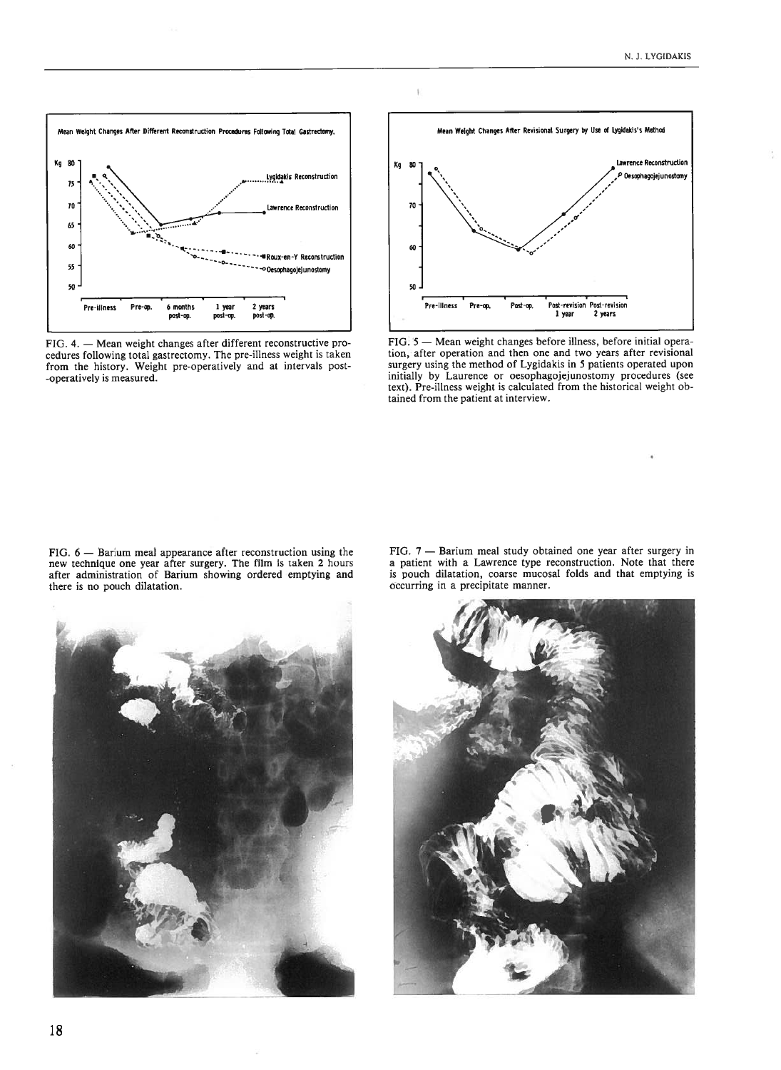

FIG. 4. — Mean weight changes after different reconstructive pro cedures following total gastrectomy. The pre-illness weight is taken from the history. Weight pre-operatively and at intervais post -operatively is measured.



FIG. 5 — Mean weight changes before illness, before initial opera tion, after operation and then one and two years after revisional surgery using the method of Lygidakis in 5 patients operated upon initially by Laurence or oesophagojejunostomy procedures (see text). Pre-illness weight is calculated from the historical weight ob tained from the patient at interview.

FIG. <sup>6</sup> — Barium meal appearance after reconstruction using the new technique one year after surgery. The film is taken <sup>2</sup> hours after administration of Barium showing ordered emptying and there is no pouch dilatation.

FIG. <sup>7</sup> — Barium meal study obtained one year after surgery in <sup>a</sup> patient with <sup>a</sup> Lawrence type reconstruction. Note that there is pouch dilatation, coarse mucosal folds and that emptying is occurring in <sup>a</sup> precipitate manner.